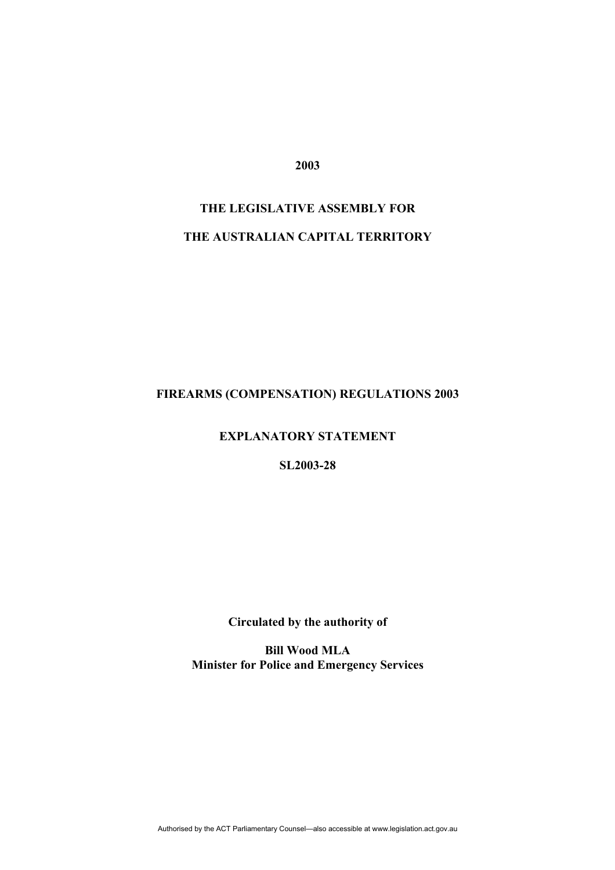**2003** 

# **THE LEGISLATIVE ASSEMBLY FOR THE AUSTRALIAN CAPITAL TERRITORY**

# **FIREARMS (COMPENSATION) REGULATIONS 2003**

#### **EXPLANATORY STATEMENT**

#### **SL2003-28**

# **Circulated by the authority of**

**Bill Wood MLA Minister for Police and Emergency Services**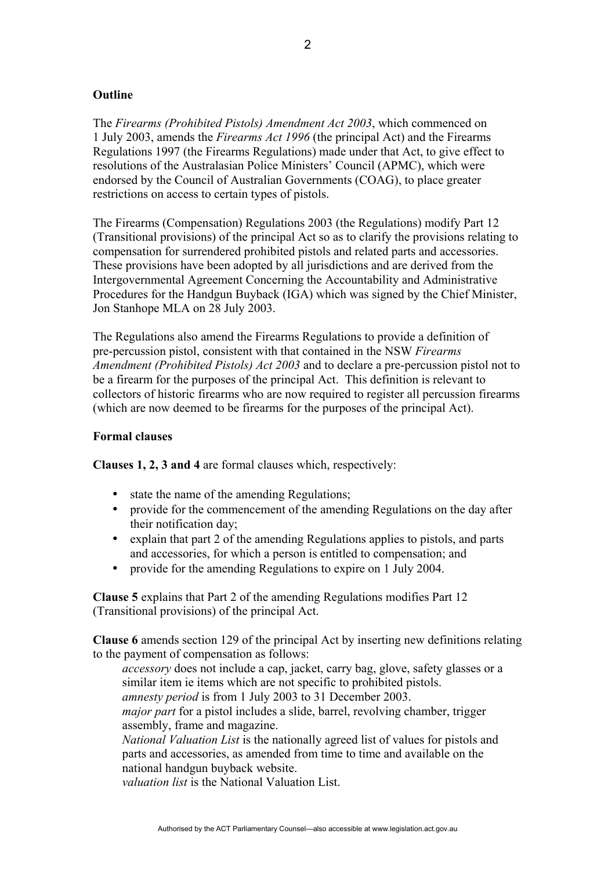#### **Outline**

The *Firearms (Prohibited Pistols) Amendment Act 2003*, which commenced on 1 July 2003, amends the *Firearms Act 1996* (the principal Act) and the Firearms Regulations 1997 (the Firearms Regulations) made under that Act, to give effect to resolutions of the Australasian Police Ministers' Council (APMC), which were endorsed by the Council of Australian Governments (COAG), to place greater restrictions on access to certain types of pistols.

The Firearms (Compensation) Regulations 2003 (the Regulations) modify Part 12 (Transitional provisions) of the principal Act so as to clarify the provisions relating to compensation for surrendered prohibited pistols and related parts and accessories. These provisions have been adopted by all jurisdictions and are derived from the Intergovernmental Agreement Concerning the Accountability and Administrative Procedures for the Handgun Buyback (IGA) which was signed by the Chief Minister, Jon Stanhope MLA on 28 July 2003.

The Regulations also amend the Firearms Regulations to provide a definition of pre-percussion pistol, consistent with that contained in the NSW *Firearms Amendment (Prohibited Pistols) Act 2003* and to declare a pre-percussion pistol not to be a firearm for the purposes of the principal Act. This definition is relevant to collectors of historic firearms who are now required to register all percussion firearms (which are now deemed to be firearms for the purposes of the principal Act).

#### **Formal clauses**

**Clauses 1, 2, 3 and 4** are formal clauses which, respectively:

- state the name of the amending Regulations;
- provide for the commencement of the amending Regulations on the day after their notification day;
- explain that part 2 of the amending Regulations applies to pistols, and parts and accessories, for which a person is entitled to compensation; and
- provide for the amending Regulations to expire on 1 July 2004.

**Clause 5** explains that Part 2 of the amending Regulations modifies Part 12 (Transitional provisions) of the principal Act.

**Clause 6** amends section 129 of the principal Act by inserting new definitions relating to the payment of compensation as follows:

*accessory* does not include a cap, jacket, carry bag, glove, safety glasses or a similar item ie items which are not specific to prohibited pistols.

*amnesty period* is from 1 July 2003 to 31 December 2003.

*major part* for a pistol includes a slide, barrel, revolving chamber, trigger assembly, frame and magazine.

*National Valuation List* is the nationally agreed list of values for pistols and parts and accessories, as amended from time to time and available on the national handgun buyback website.

*valuation list* is the National Valuation List.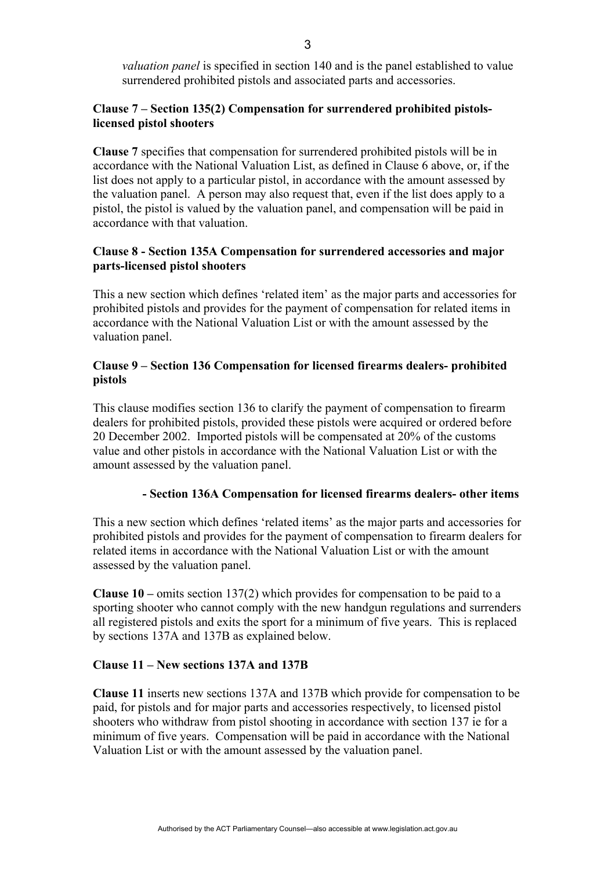*valuation panel* is specified in section 140 and is the panel established to value surrendered prohibited pistols and associated parts and accessories.

# **Clause 7 – Section 135(2) Compensation for surrendered prohibited pistolslicensed pistol shooters**

**Clause 7** specifies that compensation for surrendered prohibited pistols will be in accordance with the National Valuation List, as defined in Clause 6 above, or, if the list does not apply to a particular pistol, in accordance with the amount assessed by the valuation panel. A person may also request that, even if the list does apply to a pistol, the pistol is valued by the valuation panel, and compensation will be paid in accordance with that valuation.

# **Clause 8 - Section 135A Compensation for surrendered accessories and major parts-licensed pistol shooters**

This a new section which defines 'related item' as the major parts and accessories for prohibited pistols and provides for the payment of compensation for related items in accordance with the National Valuation List or with the amount assessed by the valuation panel.

# **Clause 9 – Section 136 Compensation for licensed firearms dealers- prohibited pistols**

This clause modifies section 136 to clarify the payment of compensation to firearm dealers for prohibited pistols, provided these pistols were acquired or ordered before 20 December 2002. Imported pistols will be compensated at 20% of the customs value and other pistols in accordance with the National Valuation List or with the amount assessed by the valuation panel.

# **- Section 136A Compensation for licensed firearms dealers- other items**

This a new section which defines 'related items' as the major parts and accessories for prohibited pistols and provides for the payment of compensation to firearm dealers for related items in accordance with the National Valuation List or with the amount assessed by the valuation panel.

**Clause 10 –** omits section 137(2) which provides for compensation to be paid to a sporting shooter who cannot comply with the new handgun regulations and surrenders all registered pistols and exits the sport for a minimum of five years. This is replaced by sections 137A and 137B as explained below.

#### **Clause 11 – New sections 137A and 137B**

**Clause 11** inserts new sections 137A and 137B which provide for compensation to be paid, for pistols and for major parts and accessories respectively, to licensed pistol shooters who withdraw from pistol shooting in accordance with section 137 ie for a minimum of five years. Compensation will be paid in accordance with the National Valuation List or with the amount assessed by the valuation panel.